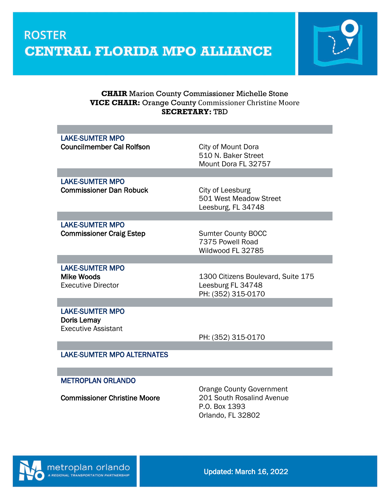

#### **CHAIR** Marion County Commissioner Michelle Stone **VICE CHAIR:** Orange County Commissioner Christine Moore **SECRETARY:** TBD

| <b>LAKE-SUMTER MPO</b><br><b>Councilmember Cal Rolfson</b>                 | City of Mount Dora<br>510 N. Baker Street<br>Mount Dora FL 32757              |
|----------------------------------------------------------------------------|-------------------------------------------------------------------------------|
|                                                                            |                                                                               |
| <b>LAKE-SUMTER MPO</b><br><b>Commissioner Dan Robuck</b>                   | City of Leesburg<br>501 West Meadow Street<br>Leesburg, FL 34748              |
|                                                                            |                                                                               |
| <b>LAKE-SUMTER MPO</b><br><b>Commissioner Craig Estep</b>                  | <b>Sumter County BOCC</b><br>7375 Powell Road<br>Wildwood FL 32785            |
|                                                                            |                                                                               |
| <b>LAKE-SUMTER MPO</b><br><b>Mike Woods</b><br><b>Executive Director</b>   | 1300 Citizens Boulevard, Suite 175<br>Leesburg FL 34748<br>PH: (352) 315-0170 |
|                                                                            |                                                                               |
| <b>LAKE-SUMTER MPO</b><br><b>Doris Lemay</b><br><b>Executive Assistant</b> | PH: (352) 315-0170                                                            |
|                                                                            |                                                                               |
| <b>LAKE-SUMTER MPO ALTERNATES</b>                                          |                                                                               |

#### METROPLAN ORLANDO

Commissioner Christine Moore

Orange County Government<br>201 South Rosalind Avenue P.O. Box 1393 Orlando, FL 32802

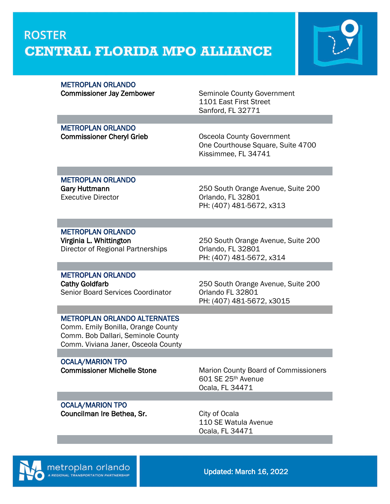

#### **METROPLAN ORLANDO**

Commissioner Jay Zembower Seminole County Government 1101 East First Street Sanford, FL 32771

**METROPLAN ORLANDO** 

Commissioner Cheryl Grieb **Commissioner Cheryl Grieb** Osceola County Government One Courthouse Square, Suite 4700 Kissimmee, FL 34741

### METROPLAN ORLANDO Executive Director **Canadian Control Control** Criando, FL 32801

Gary Huttmann **Cary Huttmann** 250 South Orange Avenue, Suite 200 PH: (407) 481-5672, x313

### METROPLAN ORLANDO

Director of Regional Partnerships **Orlando, FL 32801** 

Virginia L. Whittington 250 South Orange Avenue, Suite 200 PH: (407) 481-5672, x314

# METROPLAN ORLANDO

Senior Board Services Coordinator **Orlando FL 32801** 

### Cathy Goldfarb 250 South Orange Avenue, Suite 200 PH: (407) 481-5672, x3015

#### METROPLAN ORLANDO ALTERNATES

Comm. Emily Bonilla, Orange County Comm. Bob Dallari, Seminole County Comm. Viviana Janer, Osceola County

### **OCALA/MARION TPO**

**Commissioner Michelle Stone** Marion County Board of Commissioners 601 SE 25th Avenue Ocala, FL 34471

#### **OCALA/MARION TPO Councilman Ire Bethea, Sr.** City of Ocala

110 SE Watula Avenue Ocala, FL 34471

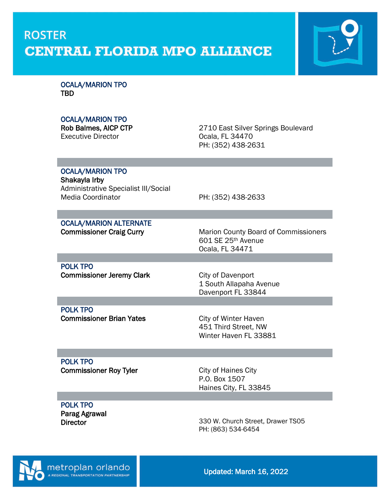

OCALA/MARION TPO TBD

#### OCALA/MARION TPO

Rob Balmes, AICP CTP<br>
Executive Director<br>
Coala, FL 34470 Ocala, FL 34470 PH: (352) 438-2631

#### **OCALA/MARION TPO**

Shakayla Irby Administrative Specialist III/Social<br>Media Coordinator

PH: (352) 438-2633

### OCALA/MARION ALTERNATE

Commissioner Craig Curry **Marion County Board of Commissioners** Marion County Board of Commissioners 601 SE 25th Avenue Ocala, FL 34471

POLK TPO Commissioner Jeremy Clark City of Davenport

1 South Allapaha Avenue Davenport FL 33844

 POLK TPO Commissioner Brian Yates City of Winter Haven

451 Third Street, NW Winter Haven FL 33881

#### POLK TPO Commissioner Roy Tyler

City of Haines City P.O. Box 1507 Haines City, FL 33845

#### POLK TPO Parag Agrawal

 $\overline{a}$ 

**Director** 

330 W. Church Street, Drawer TS05 PH: (863) 534-6454

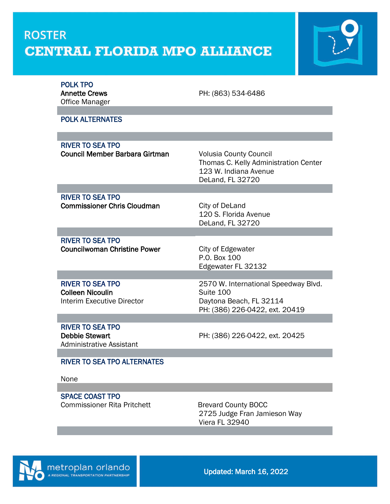

| <b>POLK TPO</b><br><b>Annette Crews</b><br><b>Office Manager</b><br><b>POLK ALTERNATES</b> | PH: (863) 534-6486                                                                                                  |
|--------------------------------------------------------------------------------------------|---------------------------------------------------------------------------------------------------------------------|
|                                                                                            |                                                                                                                     |
| <b>RIVER TO SEA TPO</b>                                                                    |                                                                                                                     |
| <b>Council Member Barbara Girtman</b>                                                      | <b>Volusia County Council</b><br>Thomas C. Kelly Administration Center<br>123 W. Indiana Avenue<br>DeLand, FL 32720 |
|                                                                                            |                                                                                                                     |
| <b>RIVER TO SEA TPO</b><br><b>Commissioner Chris Cloudman</b>                              | City of DeLand<br>120 S. Florida Avenue<br>DeLand, FL 32720                                                         |
|                                                                                            |                                                                                                                     |
| <b>RIVER TO SEA TPO</b><br><b>Councilwoman Christine Power</b>                             | City of Edgewater<br>P.O. Box 100<br>Edgewater FL 32132                                                             |
|                                                                                            |                                                                                                                     |
| <b>RIVER TO SEA TPO</b><br><b>Colleen Nicoulin</b><br><b>Interim Executive Director</b>    | 2570 W. International Speedway Blvd.<br>Suite 100<br>Daytona Beach, FL 32114<br>PH: (386) 226-0422, ext. 20419      |
|                                                                                            |                                                                                                                     |
| <b>RIVER TO SEA TPO</b><br><b>Debbie Stewart</b><br><b>Administrative Assistant</b>        | PH: (386) 226-0422, ext. 20425                                                                                      |
|                                                                                            |                                                                                                                     |
| <b>RIVER TO SEA TPO ALTERNATES</b><br>None                                                 |                                                                                                                     |
|                                                                                            |                                                                                                                     |

SPACE COAST TPO Commissioner Rita Pritchett Brevard County BOCC

2725 Judge Fran Jamieson Way Viera FL 32940

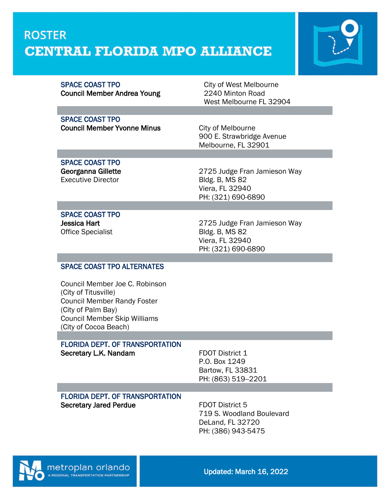

Council Member Andrea Young 2240 Minton Road

SPACE COAST TPO City of West Melbourne West Melbourne FL 32904

#### SPACE COAST TPO **Council Member Yvonne Minus** City of Melbourne

900 E. Strawbridge Avenue Melbourne, FL 32901

#### SPACE COAST TPO Georganna Gillette Executive Director

2725 Judge Fran Jamieson Way Bldg. B, MS 82 Viera, FL 32940 PH: (321) 690-6890

#### SPACE COAST TPO

 $\overline{a}$ 

Jessica Hart Office Specialist 2725 Judge Fran Jamieson Way Bldg. B, MS 82 Viera, FL 32940 PH: (321) 690-6890

#### SPACE COAST TPO ALTERNATES

Council Member Joe C. Robinson (City of Titusville) Council Member Randy Foster (City of Palm Bay) Council Member Skip Williams (City of Cocoa Beach)

### FLORIDA DEPT. OF TRANSPORTATION

Secretary L.K. Nandam FDOT District 1 P.O. Box 1249 Bartow, FL 33831 PH: (863) 519--2201 FLORIDA DEPT. OF TRANSPORTATION

Secretary Jared Perdue<br>
FDOT District 5

719 S. Woodland Boulevard DeLand, FL 32720 PH: (386) 943-5475